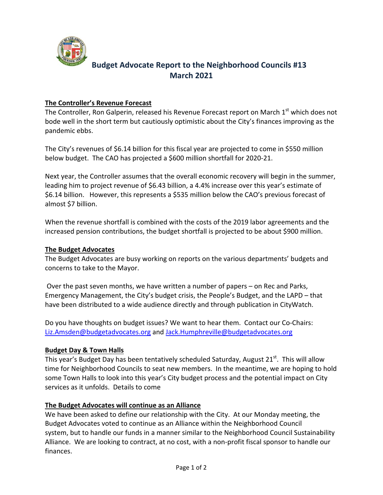

# **Budget Advocate Report to the Neighborhood Councils #13 March 2021**

## **The Controller's Revenue Forecast**

The Controller, Ron Galperin, released his Revenue Forecast report on March 1<sup>st</sup> which does not bode well in the short term but cautiously optimistic about the City's finances improving as the pandemic ebbs.

The City's revenues of \$6.14 billion for this fiscal year are projected to come in \$550 million below budget. The CAO has projected a \$600 million shortfall for 2020‐21.

Next year, the Controller assumes that the overall economic recovery will begin in the summer, leading him to project revenue of \$6.43 billion, a 4.4% increase over this year's estimate of \$6.14 billion. However, this represents a \$535 million below the CAO's previous forecast of almost \$7 billion.

When the revenue shortfall is combined with the costs of the 2019 labor agreements and the increased pension contributions, the budget shortfall is projected to be about \$900 million.

## **The Budget Advocates**

The Budget Advocates are busy working on reports on the various departments' budgets and concerns to take to the Mayor.

 Over the past seven months, we have written a number of papers – on Rec and Parks, Emergency Management, the City's budget crisis, the People's Budget, and the LAPD – that have been distributed to a wide audience directly and through publication in CityWatch.

Do you have thoughts on budget issues? We want to hear them. Contact our Co-Chairs: Liz.Amsden@budgetadvocates.org and Jack.Humphreville@budgetadvocates.org

## **Budget Day & Town Halls**

This year's Budget Day has been tentatively scheduled Saturday, August 21<sup>st</sup>. This will allow time for Neighborhood Councils to seat new members. In the meantime, we are hoping to hold some Town Halls to look into this year's City budget process and the potential impact on City services as it unfolds. Details to come

## **The Budget Advocates will continue as an Alliance**

We have been asked to define our relationship with the City. At our Monday meeting, the Budget Advocates voted to continue as an Alliance within the Neighborhood Council system, but to handle our funds in a manner similar to the Neighborhood Council Sustainability Alliance. We are looking to contract, at no cost, with a non‐profit fiscal sponsor to handle our finances.